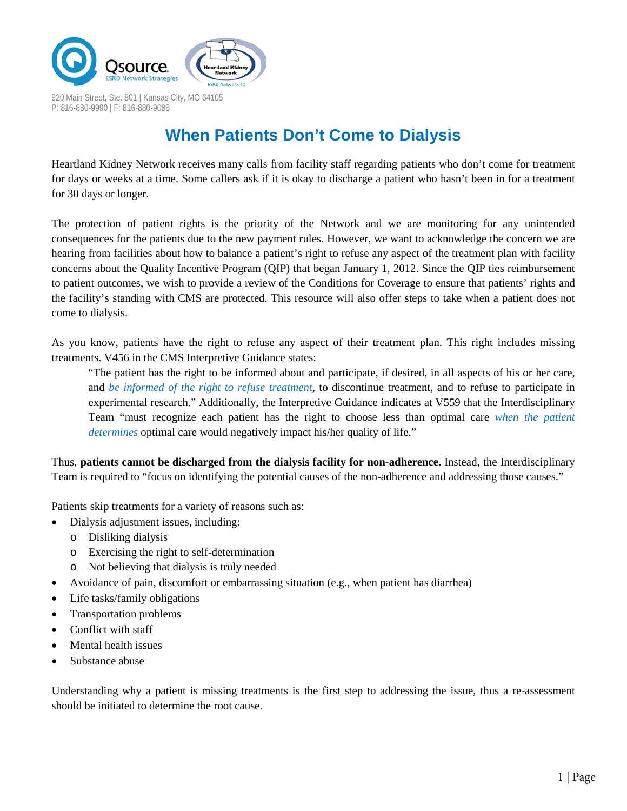

**When Patients Don't Come to Dialysis**

Heartland Kidney Network receives many calls from facility staff regarding patients who don't come for treatment for days or weeks at a time. Some callers ask if it is okay to discharge a patient who hasn't been in for a treatment for 30 days or longer.

The protection of patient rights is the priority of the Network and we are monitoring for any unintended consequences for the patients due to the new payment rules. However, we want to acknowledge the concern we are hearing from facilities about how to balance a patient's right to refuse any aspect of the treatment plan with facility concerns about the Quality Incentive Program (QIP) that began January 1, 2012. Since the QIP ties reimbursement to patient outcomes, we wish to provide a review of the Conditions for Coverage to ensure that patients' rights and the facility's standing with CMS are protected. This resource will also offer steps to take when a patient does not come to dialysis.

As you know, patients have the right to refuse any aspect of their treatment plan. This right includes missing treatments. V456 in the CMS Interpretive Guidance states:

"The patient has the right to be informed about and participate, if desired, in all aspects of his or her care, and *be informed of the right to refuse treatment*, to discontinue treatment, and to refuse to participate in experimental research." Additionally, the Interpretive Guidance indicates at V559 that the Interdisciplinary Team "must recognize each patient has the right to choose less than optimal care *when the patient determines* optimal care would negatively impact his/her quality of life."

Thus, **patients cannot be discharged from the dialysis facility for non-adherence.** Instead, the Interdisciplinary Team is required to "focus on identifying the potential causes of the non-adherence and addressing those causes."

Patients skip treatments for a variety of reasons such as:

- Dialysis adjustment issues, including:
	- o Disliking dialysis
	- o Exercising the right to self-determination
	- o Not believing that dialysis is truly needed
- Avoidance of pain, discomfort or embarrassing situation (e.g., when patient has diarrhea)
- Life tasks/family obligations
- Transportation problems
- Conflict with staff
- Mental health issues
- Substance abuse

Understanding why a patient is missing treatments is the first step to addressing the issue, thus a re-assessment should be initiated to determine the root cause.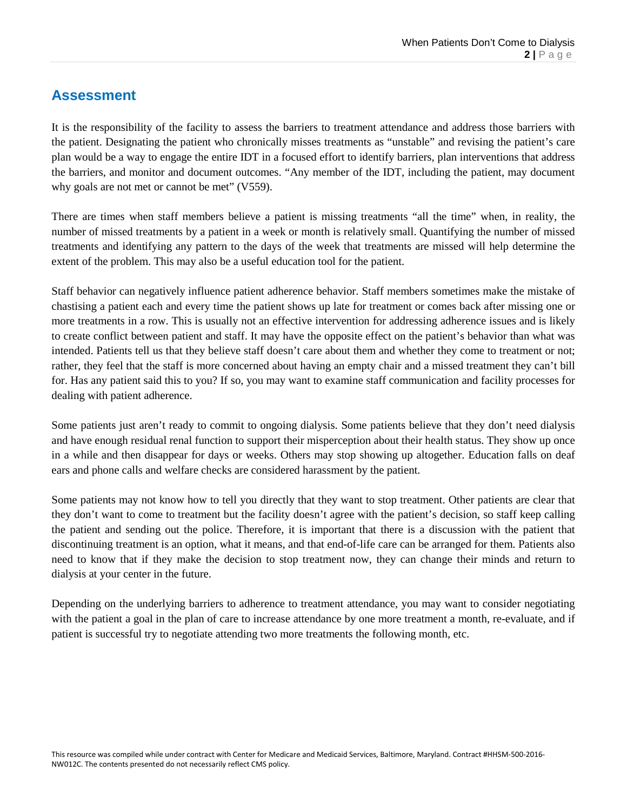#### **Assessment**

It is the responsibility of the facility to assess the barriers to treatment attendance and address those barriers with the patient. Designating the patient who chronically misses treatments as "unstable" and revising the patient's care plan would be a way to engage the entire IDT in a focused effort to identify barriers, plan interventions that address the barriers, and monitor and document outcomes. "Any member of the IDT, including the patient, may document why goals are not met or cannot be met" (V559).

There are times when staff members believe a patient is missing treatments "all the time" when, in reality, the number of missed treatments by a patient in a week or month is relatively small. Quantifying the number of missed treatments and identifying any pattern to the days of the week that treatments are missed will help determine the extent of the problem. This may also be a useful education tool for the patient.

Staff behavior can negatively influence patient adherence behavior. Staff members sometimes make the mistake of chastising a patient each and every time the patient shows up late for treatment or comes back after missing one or more treatments in a row. This is usually not an effective intervention for addressing adherence issues and is likely to create conflict between patient and staff. It may have the opposite effect on the patient's behavior than what was intended. Patients tell us that they believe staff doesn't care about them and whether they come to treatment or not; rather, they feel that the staff is more concerned about having an empty chair and a missed treatment they can't bill for. Has any patient said this to you? If so, you may want to examine staff communication and facility processes for dealing with patient adherence.

Some patients just aren't ready to commit to ongoing dialysis. Some patients believe that they don't need dialysis and have enough residual renal function to support their misperception about their health status. They show up once in a while and then disappear for days or weeks. Others may stop showing up altogether. Education falls on deaf ears and phone calls and welfare checks are considered harassment by the patient.

Some patients may not know how to tell you directly that they want to stop treatment. Other patients are clear that they don't want to come to treatment but the facility doesn't agree with the patient's decision, so staff keep calling the patient and sending out the police. Therefore, it is important that there is a discussion with the patient that discontinuing treatment is an option, what it means, and that end-of-life care can be arranged for them. Patients also need to know that if they make the decision to stop treatment now, they can change their minds and return to dialysis at your center in the future.

Depending on the underlying barriers to adherence to treatment attendance, you may want to consider negotiating with the patient a goal in the plan of care to increase attendance by one more treatment a month, re-evaluate, and if patient is successful try to negotiate attending two more treatments the following month, etc.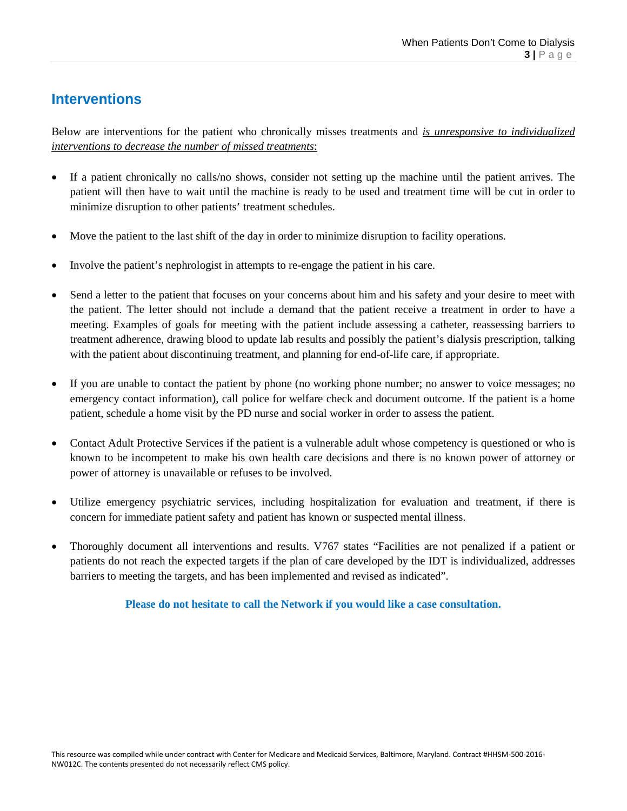## **Interventions**

Below are interventions for the patient who chronically misses treatments and *is unresponsive to individualized interventions to decrease the number of missed treatments*:

- If a patient chronically no calls/no shows, consider not setting up the machine until the patient arrives. The patient will then have to wait until the machine is ready to be used and treatment time will be cut in order to minimize disruption to other patients' treatment schedules.
- Move the patient to the last shift of the day in order to minimize disruption to facility operations.
- Involve the patient's nephrologist in attempts to re-engage the patient in his care.
- Send a letter to the patient that focuses on your concerns about him and his safety and your desire to meet with the patient. The letter should not include a demand that the patient receive a treatment in order to have a meeting. Examples of goals for meeting with the patient include assessing a catheter, reassessing barriers to treatment adherence, drawing blood to update lab results and possibly the patient's dialysis prescription, talking with the patient about discontinuing treatment, and planning for end-of-life care, if appropriate.
- If you are unable to contact the patient by phone (no working phone number; no answer to voice messages; no emergency contact information), call police for welfare check and document outcome. If the patient is a home patient, schedule a home visit by the PD nurse and social worker in order to assess the patient.
- Contact Adult Protective Services if the patient is a vulnerable adult whose competency is questioned or who is known to be incompetent to make his own health care decisions and there is no known power of attorney or power of attorney is unavailable or refuses to be involved.
- Utilize emergency psychiatric services, including hospitalization for evaluation and treatment, if there is concern for immediate patient safety and patient has known or suspected mental illness.
- Thoroughly document all interventions and results. V767 states "Facilities are not penalized if a patient or patients do not reach the expected targets if the plan of care developed by the IDT is individualized, addresses barriers to meeting the targets, and has been implemented and revised as indicated".

**Please do not hesitate to call the Network if you would like a case consultation.**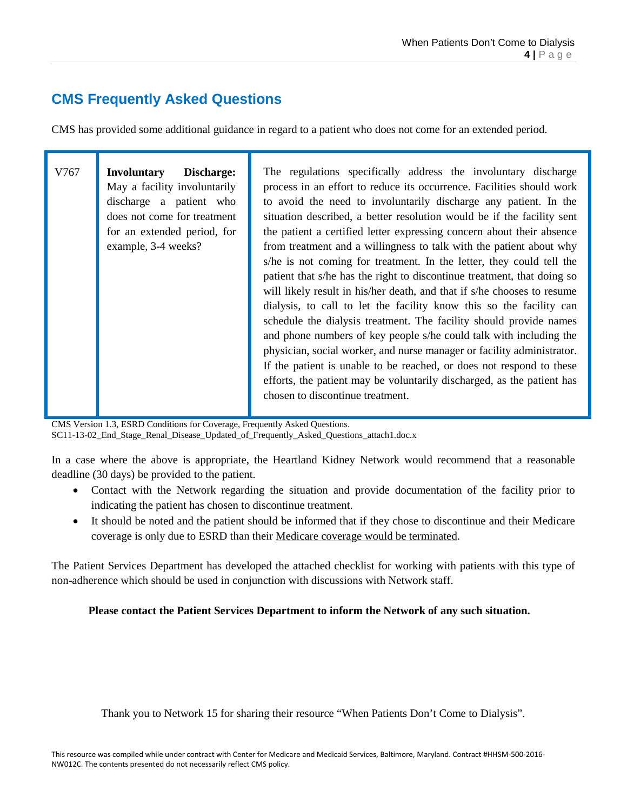### **CMS Frequently Asked Questions**

CMS has provided some additional guidance in regard to a patient who does not come for an extended period.

| V767 | <b>Involuntary</b><br>Discharge:<br>May a facility involuntarily<br>discharge a patient who<br>does not come for treatment<br>for an extended period, for<br>example, 3-4 weeks? | The regulations specifically address the involuntary discharge<br>process in an effort to reduce its occurrence. Facilities should work<br>to avoid the need to involuntarily discharge any patient. In the<br>situation described, a better resolution would be if the facility sent<br>the patient a certified letter expressing concern about their absence<br>from treatment and a willingness to talk with the patient about why<br>s/he is not coming for treatment. In the letter, they could tell the<br>patient that s/he has the right to discontinue treatment, that doing so<br>will likely result in his/her death, and that if s/he chooses to resume<br>dialysis, to call to let the facility know this so the facility can<br>schedule the dialysis treatment. The facility should provide names<br>and phone numbers of key people s/he could talk with including the<br>physician, social worker, and nurse manager or facility administrator.<br>If the patient is unable to be reached, or does not respond to these<br>efforts, the patient may be voluntarily discharged, as the patient has<br>chosen to discontinue treatment. |
|------|----------------------------------------------------------------------------------------------------------------------------------------------------------------------------------|--------------------------------------------------------------------------------------------------------------------------------------------------------------------------------------------------------------------------------------------------------------------------------------------------------------------------------------------------------------------------------------------------------------------------------------------------------------------------------------------------------------------------------------------------------------------------------------------------------------------------------------------------------------------------------------------------------------------------------------------------------------------------------------------------------------------------------------------------------------------------------------------------------------------------------------------------------------------------------------------------------------------------------------------------------------------------------------------------------------------------------------------------------|
|      |                                                                                                                                                                                  |                                                                                                                                                                                                                                                                                                                                                                                                                                                                                                                                                                                                                                                                                                                                                                                                                                                                                                                                                                                                                                                                                                                                                        |

CMS Version 1.3, ESRD Conditions for Coverage, Frequently Asked Questions.

SC11-13-02\_End\_Stage\_Renal\_Disease\_Updated\_of\_Frequently\_Asked\_Questions\_attach1.doc.x

In a case where the above is appropriate, the Heartland Kidney Network would recommend that a reasonable deadline (30 days) be provided to the patient.

- Contact with the Network regarding the situation and provide documentation of the facility prior to indicating the patient has chosen to discontinue treatment.
- It should be noted and the patient should be informed that if they chose to discontinue and their Medicare coverage is only due to ESRD than their Medicare coverage would be terminated.

The Patient Services Department has developed the attached checklist for working with patients with this type of non-adherence which should be used in conjunction with discussions with Network staff.

#### **Please contact the Patient Services Department to inform the Network of any such situation.**

Thank you to Network 15 for sharing their resource "When Patients Don't Come to Dialysis".